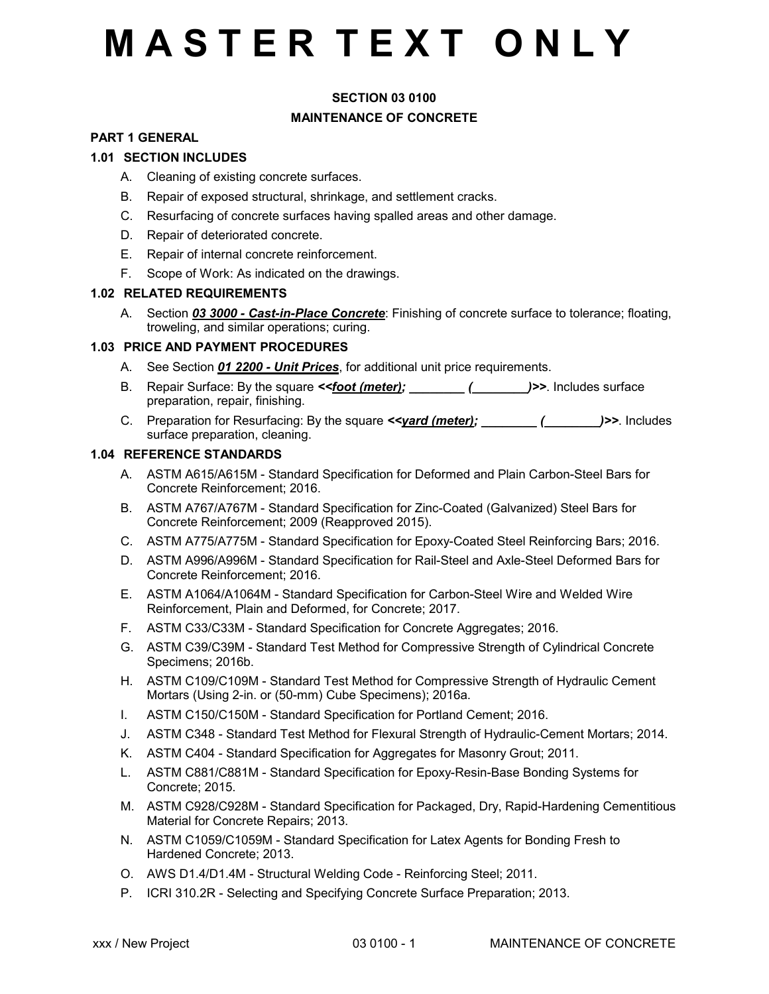### **SECTION 03 0100 MAINTENANCE OF CONCRETE**

#### **PART 1 GENERAL**

### **1.01 SECTION INCLUDES**

- A. Cleaning of existing concrete surfaces.
- B. Repair of exposed structural, shrinkage, and settlement cracks.
- C. Resurfacing of concrete surfaces having spalled areas and other damage.
- D. Repair of deteriorated concrete.
- E. Repair of internal concrete reinforcement.
- F. Scope of Work: As indicated on the drawings.

### **1.02 RELATED REQUIREMENTS**

A. Section *03 3000 - Cast-in-Place Concrete*: Finishing of concrete surface to tolerance; floating, troweling, and similar operations; curing.

### **1.03 PRICE AND PAYMENT PROCEDURES**

- A. See Section *01 2200 Unit Prices*, for additional unit price requirements.
- B. Repair Surface: By the square **< foot (meter); [alserce** (2015) (2016) Includes surface preparation, repair, finishing.
- C. Preparation for Resurfacing: By the square *<<yard (meter); \_\_\_\_\_\_\_\_ (\_\_\_\_\_\_\_\_)>>*. Includes surface preparation, cleaning.

#### **1.04 REFERENCE STANDARDS**

- A. ASTM A615/A615M Standard Specification for Deformed and Plain Carbon-Steel Bars for Concrete Reinforcement; 2016.
- B. ASTM A767/A767M Standard Specification for Zinc-Coated (Galvanized) Steel Bars for Concrete Reinforcement; 2009 (Reapproved 2015).
- C. ASTM A775/A775M Standard Specification for Epoxy-Coated Steel Reinforcing Bars; 2016.
- D. ASTM A996/A996M Standard Specification for Rail-Steel and Axle-Steel Deformed Bars for Concrete Reinforcement; 2016.
- E. ASTM A1064/A1064M Standard Specification for Carbon-Steel Wire and Welded Wire Reinforcement, Plain and Deformed, for Concrete; 2017.
- F. ASTM C33/C33M Standard Specification for Concrete Aggregates; 2016.
- G. ASTM C39/C39M Standard Test Method for Compressive Strength of Cylindrical Concrete Specimens; 2016b.
- H. ASTM C109/C109M Standard Test Method for Compressive Strength of Hydraulic Cement Mortars (Using 2-in. or (50-mm) Cube Specimens); 2016a.
- I. ASTM C150/C150M Standard Specification for Portland Cement; 2016.
- J. ASTM C348 Standard Test Method for Flexural Strength of Hydraulic-Cement Mortars; 2014.
- K. ASTM C404 Standard Specification for Aggregates for Masonry Grout; 2011.
- L. ASTM C881/C881M Standard Specification for Epoxy-Resin-Base Bonding Systems for Concrete; 2015.
- M. ASTM C928/C928M Standard Specification for Packaged, Dry, Rapid-Hardening Cementitious Material for Concrete Repairs; 2013.
- N. ASTM C1059/C1059M Standard Specification for Latex Agents for Bonding Fresh to Hardened Concrete; 2013.
- O. AWS D1.4/D1.4M Structural Welding Code Reinforcing Steel; 2011.
- P. ICRI 310.2R Selecting and Specifying Concrete Surface Preparation; 2013.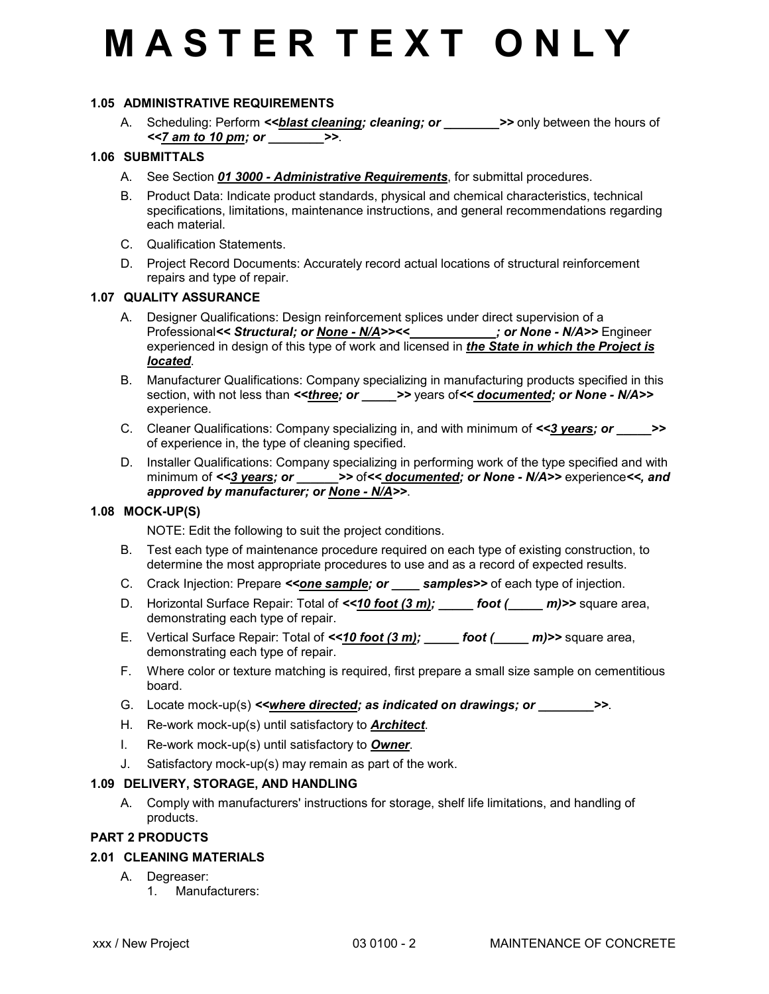### **1.05 ADMINISTRATIVE REQUIREMENTS**

A. Scheduling: Perform <<br />blast cleaning; cleaning; or \_\_\_\_\_\_\_\_>>> only between the hours of *<<7 am to 10 pm; or \_\_\_\_\_\_\_\_>>*.

#### **1.06 SUBMITTALS**

- A. See Section *01 3000 Administrative Requirements*, for submittal procedures.
- B. Product Data: Indicate product standards, physical and chemical characteristics, technical specifications, limitations, maintenance instructions, and general recommendations regarding each material.
- C. Qualification Statements.
- D. Project Record Documents: Accurately record actual locations of structural reinforcement repairs and type of repair.

### **1.07 QUALITY ASSURANCE**

- A. Designer Qualifications: Design reinforcement splices under direct supervision of a Professional*<< Structural; or None - N/A>><< \_\_\_\_\_\_\_\_\_\_\_\_; or None - N/A>>* Engineer experienced in design of this type of work and licensed in *the State in which the Project is located*.
- B. Manufacturer Qualifications: Company specializing in manufacturing products specified in this section, with not less than <<*three; or* >> years of<< *documented; or None - N/A>>* experience.
- C. Cleaner Qualifications: Company specializing in, and with minimum of *<<3 years; or \_\_\_\_\_>>* of experience in, the type of cleaning specified.
- D. Installer Qualifications: Company specializing in performing work of the type specified and with minimum of <<3 years; or \_\_\_\_\_\_\_\_> of << documented; or None - N/A>> experience <<, and *approved by manufacturer; or None - N/A>>*.

### **1.08 MOCK-UP(S)**

NOTE: Edit the following to suit the project conditions.

- B. Test each type of maintenance procedure required on each type of existing construction, to determine the most appropriate procedures to use and as a record of expected results.
- C. Crack Injection: Prepare <<**one sample; or \_\_\_\_ samples>>** of each type of injection.
- D. Horizontal Surface Repair: Total of  $\leq 10$  foot (2 m); \_\_\_\_\_ foot (2 m) >> square area, demonstrating each type of repair.
- E. Vertical Surface Repair: Total of  $\leq 10$  foot (2 m); \_\_\_\_\_ foot (2 m) >> square area, demonstrating each type of repair.
- F. Where color or texture matching is required, first prepare a small size sample on cementitious board.
- G. Locate mock-up(s) <<*where directed; as indicated on drawings; or*  $\rightarrow$ *>*.
- H. Re-work mock-up(s) until satisfactory to *Architect*.
- I. Re-work mock-up(s) until satisfactory to *Owner*.
- J. Satisfactory mock-up(s) may remain as part of the work.

#### **1.09 DELIVERY, STORAGE, AND HANDLING**

A. Comply with manufacturers' instructions for storage, shelf life limitations, and handling of products.

### **PART 2 PRODUCTS**

### **2.01 CLEANING MATERIALS**

- A. Degreaser:
	- 1. Manufacturers: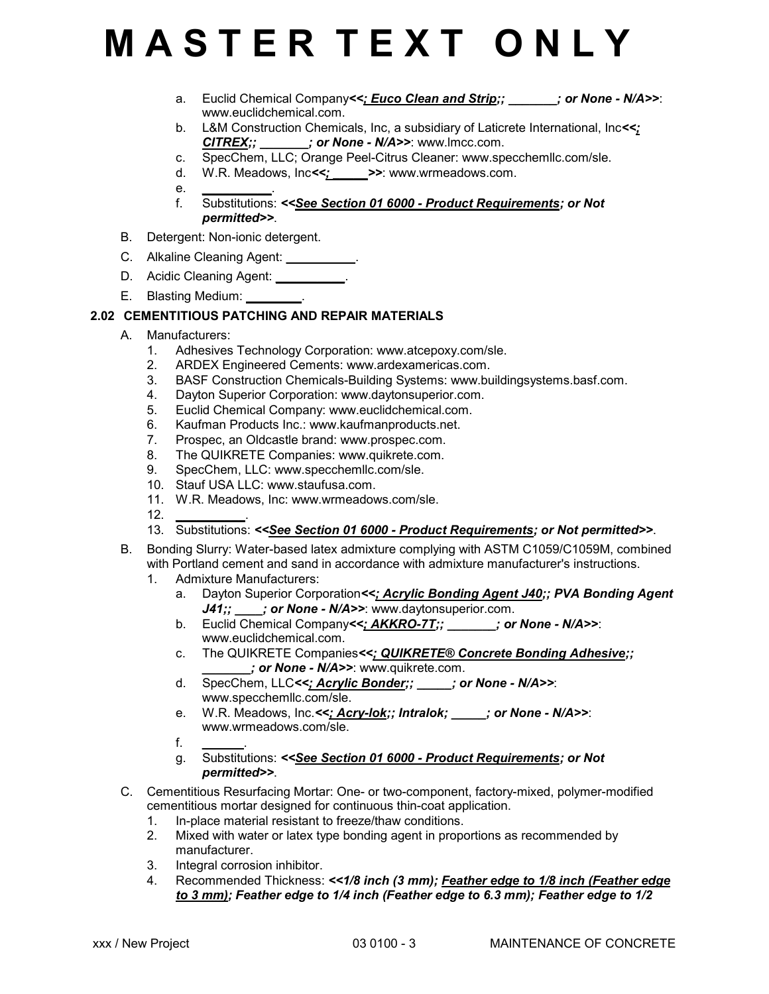- a. Euclid Chemical Company<<: Euco Clean and Strip:;  $\cdot$  ; or None N/A>>: www.euclidchemical.com.
- b. L&M Construction Chemicals, Inc, a subsidiary of Laticrete International, Inc*<<; CITREX;; \_\_\_\_\_\_\_; or None - N/A>>*: www.lmcc.com.
- c. SpecChem, LLC; Orange Peel-Citrus Cleaner: www.specchemllc.com/sle.
- d. W.R. Meadows, Inc*<<; \_\_\_\_\_>>*: www.wrmeadows.com.
- e. *\_\_\_\_\_\_\_\_\_\_*.
- f. Substitutions: *<<See Section 01 6000 Product Requirements; or Not permitted>>*.
- B. Detergent: Non-ionic detergent.
- C. Alkaline Cleaning Agent: *\_\_\_\_\_\_\_\_\_\_*.
- D. Acidic Cleaning Agent: *\_\_\_\_\_\_\_\_\_\_*.
- E. Blasting Medium: *\_\_\_\_\_\_\_\_*.

### **2.02 CEMENTITIOUS PATCHING AND REPAIR MATERIALS**

- A. Manufacturers:
	- 1. Adhesives Technology Corporation: www.atcepoxy.com/sle.
	- 2. ARDEX Engineered Cements: www.ardexamericas.com.
	- 3. BASF Construction Chemicals-Building Systems: www.buildingsystems.basf.com.
	- 4. Dayton Superior Corporation: www.daytonsuperior.com.
	- 5. Euclid Chemical Company: www.euclidchemical.com.
	- 6. Kaufman Products Inc.: www.kaufmanproducts.net.
	- 7. Prospec, an Oldcastle brand: www.prospec.com.
	- 8. The QUIKRETE Companies: www.quikrete.com.
	- 9. SpecChem, LLC: www.specchemllc.com/sle.
	- 10. Stauf USA LLC: www.staufusa.com.
	- 11. W.R. Meadows, Inc: www.wrmeadows.com/sle.
	- 12. *\_\_\_\_\_\_\_\_\_\_*.
	- 13. Substitutions: *<<See Section 01 6000 Product Requirements; or Not permitted>>*.
- B. Bonding Slurry: Water-based latex admixture complying with ASTM C1059/C1059M, combined with Portland cement and sand in accordance with admixture manufacturer's instructions.
	- 1. Admixture Manufacturers:
		- a. Dayton Superior Corporation*<<; Acrylic Bonding Agent J40;; PVA Bonding Agent* J41;;  $\cdot$  ; or None - N/A>>: www.daytonsuperior.com.
		- b. Euclid Chemical Company<<; AKKRO-7T;;  $\blacksquare$ ; or None N/A>>: www.euclidchemical.com.
		- c. The QUIKRETE Companies*<<; QUIKRETE® Concrete Bonding Adhesive;; \_\_\_\_\_\_\_; or None - N/A>>*: www.quikrete.com.
		- d. SpecChem, LLC*<<; Acrylic Bonder;; \_\_\_\_\_; or None N/A>>*: www.specchemllc.com/sle.
		- e. W.R. Meadows, Inc.*<<; Acry-lok;; Intralok; \_\_\_\_\_; or None N/A>>*: www.wrmeadows.com/sle.
		- f. *\_\_\_\_\_\_*.
		- g. Substitutions: *<<See Section 01 6000 Product Requirements; or Not permitted>>*.
- C. Cementitious Resurfacing Mortar: One- or two-component, factory-mixed, polymer-modified cementitious mortar designed for continuous thin-coat application.
	- 1. In-place material resistant to freeze/thaw conditions.
	- 2. Mixed with water or latex type bonding agent in proportions as recommended by manufacturer.
	- 3. Integral corrosion inhibitor.
	- 4. Recommended Thickness: *<<1/8 inch (3 mm); Feather edge to 1/8 inch (Feather edge to 3 mm); Feather edge to 1/4 inch (Feather edge to 6.3 mm); Feather edge to 1/2*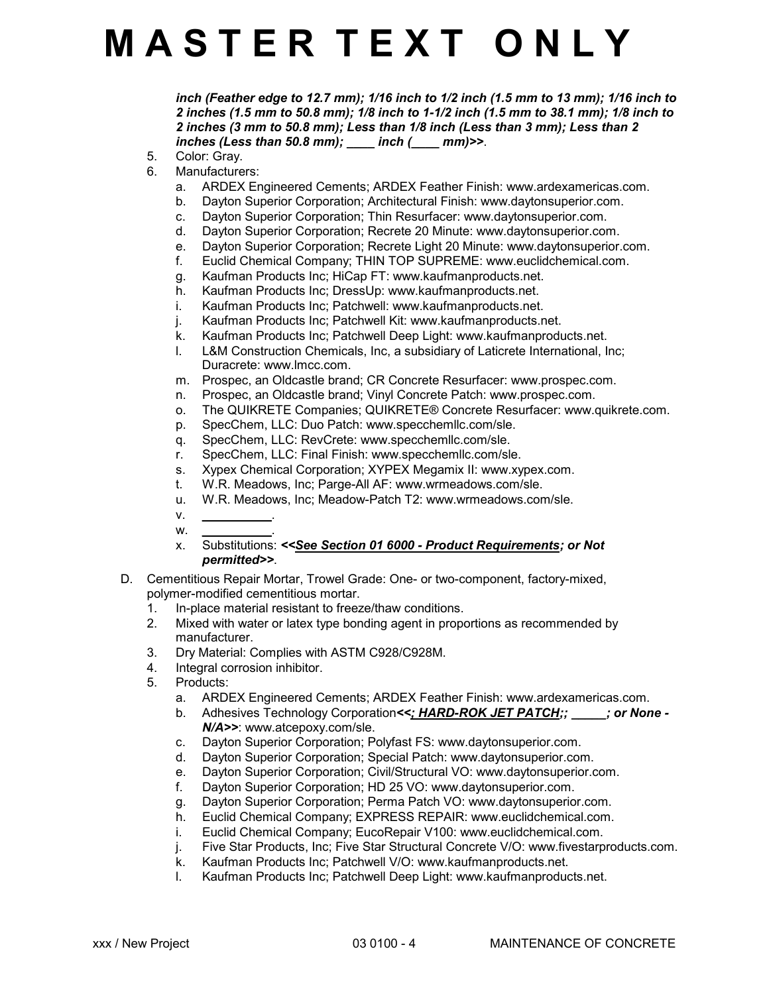*inch (Feather edge to 12.7 mm); 1/16 inch to 1/2 inch (1.5 mm to 13 mm); 1/16 inch to 2 inches (1.5 mm to 50.8 mm); 1/8 inch to 1-1/2 inch (1.5 mm to 38.1 mm); 1/8 inch to 2 inches (3 mm to 50.8 mm); Less than 1/8 inch (Less than 3 mm); Less than 2 inches (Less than 50.8 mm); \_\_\_\_ inch (\_\_\_\_ mm)>>*.

- 5. Color: Gray.
- 6. Manufacturers:
	- a. ARDEX Engineered Cements; ARDEX Feather Finish: www.ardexamericas.com.
	- b. Dayton Superior Corporation; Architectural Finish: www.daytonsuperior.com.
	- c. Dayton Superior Corporation; Thin Resurfacer: www.daytonsuperior.com.<br>d. Dayton Superior Corporation: Recrete 20 Minute: www.daytonsuperior.com
	- Dayton Superior Corporation; Recrete 20 Minute: www.daytonsuperior.com.
	- e. Dayton Superior Corporation; Recrete Light 20 Minute: www.daytonsuperior.com.
	- f. Euclid Chemical Company; THIN TOP SUPREME: www.euclidchemical.com.
	- g. Kaufman Products Inc; HiCap FT: www.kaufmanproducts.net.
	- Kaufman Products Inc; DressUp: www.kaufmanproducts.net.
	- i. Kaufman Products Inc; Patchwell: www.kaufmanproducts.net.
	- j. Kaufman Products Inc; Patchwell Kit: www.kaufmanproducts.net.
	- k. Kaufman Products Inc; Patchwell Deep Light: www.kaufmanproducts.net.
	- l. L&M Construction Chemicals, Inc, a subsidiary of Laticrete International, Inc; Duracrete: www.lmcc.com.
	- m. Prospec, an Oldcastle brand; CR Concrete Resurfacer: www.prospec.com.
	- n. Prospec, an Oldcastle brand; Vinyl Concrete Patch: www.prospec.com.
	- o. The QUIKRETE Companies; QUIKRETE® Concrete Resurfacer: www.quikrete.com.
	- p. SpecChem, LLC: Duo Patch: www.specchemllc.com/sle.
	- q. SpecChem, LLC: RevCrete: www.specchemllc.com/sle.
	- r. SpecChem, LLC: Final Finish: www.specchemllc.com/sle.
	- s. Xypex Chemical Corporation; XYPEX Megamix II: www.xypex.com.
	- t. W.R. Meadows, Inc; Parge-All AF: www.wrmeadows.com/sle.
	- u. W.R. Meadows, Inc; Meadow-Patch T2: www.wrmeadows.com/sle.
	- v. *\_\_\_\_\_\_\_\_\_\_*.

w. *\_\_\_\_\_\_\_\_\_\_*.

- x. Substitutions: *<<See Section 01 6000 Product Requirements; or Not permitted>>*.
- D. Cementitious Repair Mortar, Trowel Grade: One- or two-component, factory-mixed, polymer-modified cementitious mortar.
	- 1. In-place material resistant to freeze/thaw conditions.
	- 2. Mixed with water or latex type bonding agent in proportions as recommended by manufacturer.
	- 3. Dry Material: Complies with ASTM C928/C928M.<br>4. Integral corrosion inhibitor.
	- Integral corrosion inhibitor.
	- 5. Products:
		- a. ARDEX Engineered Cements; ARDEX Feather Finish: www.ardexamericas.com.
		- b. Adhesives Technology Corporation*<<; HARD-ROK JET PATCH;; \_\_\_\_\_; or None - N/A>>*: www.atcepoxy.com/sle.
		- c. Dayton Superior Corporation; Polyfast FS: www.daytonsuperior.com.
		- d. Dayton Superior Corporation; Special Patch: www.daytonsuperior.com.
		- e. Dayton Superior Corporation; Civil/Structural VO: www.daytonsuperior.com.
		- f. Dayton Superior Corporation; HD 25 VO: www.daytonsuperior.com.
		- g. Dayton Superior Corporation; Perma Patch VO: www.daytonsuperior.com.
		- h. Euclid Chemical Company; EXPRESS REPAIR: www.euclidchemical.com.
		- i. Euclid Chemical Company; EucoRepair V100: www.euclidchemical.com.
		- j. Five Star Products, Inc; Five Star Structural Concrete V/O: www.fivestarproducts.com.
		- k. Kaufman Products Inc; Patchwell V/O: www.kaufmanproducts.net.
		- l. Kaufman Products Inc; Patchwell Deep Light: www.kaufmanproducts.net.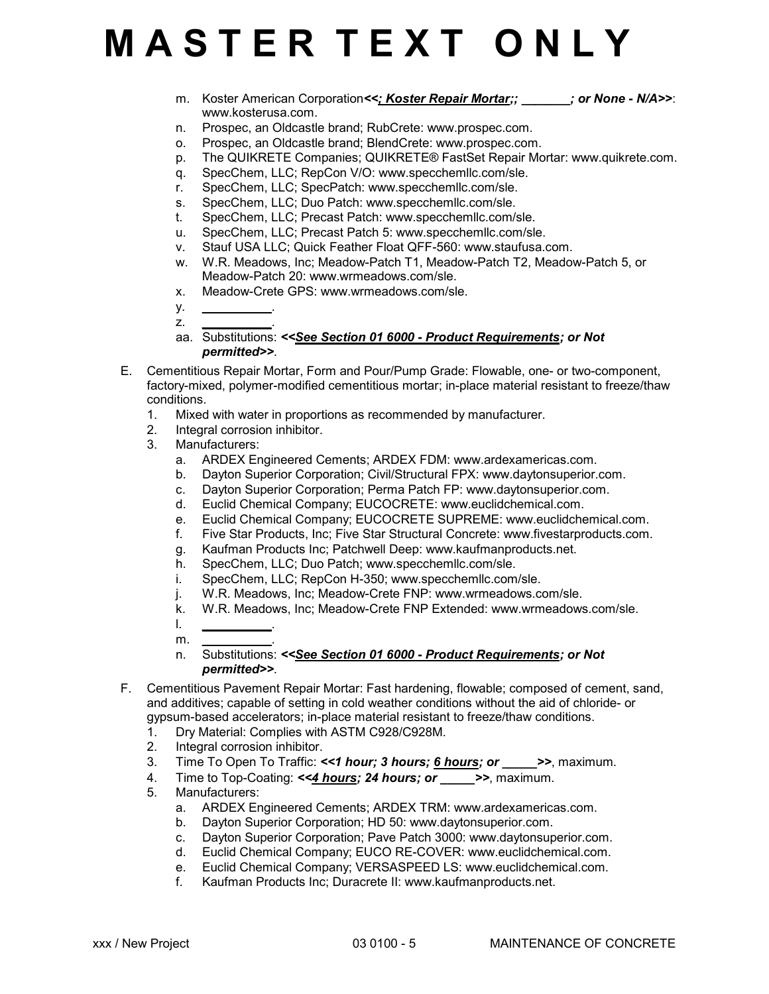m. Koster American Corporation <<; Koster Repair Mortar;;  $\cdot$  ; or None - N/A>>: www.kosterusa.com.

- n. Prospec, an Oldcastle brand; RubCrete: www.prospec.com.
- o. Prospec, an Oldcastle brand; BlendCrete: www.prospec.com.
- p. The QUIKRETE Companies; QUIKRETE® FastSet Repair Mortar: www.quikrete.com.
- q. SpecChem, LLC; RepCon V/O: www.specchemllc.com/sle.
- r. SpecChem, LLC; SpecPatch: www.specchemllc.com/sle.
- s. SpecChem, LLC; Duo Patch: www.specchemllc.com/sle.
- t. SpecChem, LLC; Precast Patch: www.specchemllc.com/sle.
- u. SpecChem, LLC; Precast Patch 5: www.specchemllc.com/sle.
- v. Stauf USA LLC; Quick Feather Float QFF-560: www.staufusa.com.
- w. W.R. Meadows, Inc; Meadow-Patch T1, Meadow-Patch T2, Meadow-Patch 5, or Meadow-Patch 20: www.wrmeadows.com/sle.
- x. Meadow-Crete GPS: www.wrmeadows.com/sle.
- y. *\_\_\_\_\_\_\_\_\_\_*.
- z. *\_\_\_\_\_\_\_\_\_\_*.
- aa. Substitutions: *<<See Section 01 6000 Product Requirements; or Not permitted>>*.
- E. Cementitious Repair Mortar, Form and Pour/Pump Grade: Flowable, one- or two-component, factory-mixed, polymer-modified cementitious mortar; in-place material resistant to freeze/thaw conditions.
	- 1. Mixed with water in proportions as recommended by manufacturer.<br>2. Integral corrosion inhibitor.
	- 2. Integral corrosion inhibitor.
	- 3. Manufacturers:
		- a. ARDEX Engineered Cements; ARDEX FDM: www.ardexamericas.com.
		- b. Dayton Superior Corporation; Civil/Structural FPX: www.daytonsuperior.com.
		- c. Dayton Superior Corporation; Perma Patch FP: www.daytonsuperior.com.
		- d. Euclid Chemical Company; EUCOCRETE: www.euclidchemical.com.
		- e. Euclid Chemical Company; EUCOCRETE SUPREME: www.euclidchemical.com.
		- f. Five Star Products, Inc; Five Star Structural Concrete: www.fivestarproducts.com.
		- g. Kaufman Products Inc; Patchwell Deep: www.kaufmanproducts.net.
		- h. SpecChem, LLC; Duo Patch; www.specchemllc.com/sle.
		- i. SpecChem, LLC; RepCon H-350; www.specchemllc.com/sle.
		- j. W.R. Meadows, Inc; Meadow-Crete FNP: www.wrmeadows.com/sle.
		- k. W.R. Meadows, Inc; Meadow-Crete FNP Extended: www.wrmeadows.com/sle.
		- l. *\_\_\_\_\_\_\_\_\_\_*. m. *\_\_\_\_\_\_\_\_\_\_*.
		- n. Substitutions: *<<See Section 01 6000 Product Requirements; or Not permitted>>*.
- F. Cementitious Pavement Repair Mortar: Fast hardening, flowable; composed of cement, sand, and additives; capable of setting in cold weather conditions without the aid of chloride- or gypsum-based accelerators; in-place material resistant to freeze/thaw conditions.
	- 1. Dry Material: Complies with ASTM C928/C928M.
	- 2. Integral corrosion inhibitor.
	- 3. Time To Open To Traffic: *<<1 hour; 3 hours; 6 hours; or \_\_\_\_\_>>*, maximum.
	- 4. Time to Top-Coating: <<4 hours; 24 hours; or >>, maximum.
	- 5. Manufacturers:
		- a. ARDEX Engineered Cements; ARDEX TRM: www.ardexamericas.com.
		- b. Dayton Superior Corporation; HD 50: www.daytonsuperior.com.
		- c. Dayton Superior Corporation; Pave Patch 3000: www.daytonsuperior.com.
		- d. Euclid Chemical Company; EUCO RE-COVER: www.euclidchemical.com.
		- e. Euclid Chemical Company; VERSASPEED LS: www.euclidchemical.com.
		- f. Kaufman Products Inc; Duracrete II: www.kaufmanproducts.net.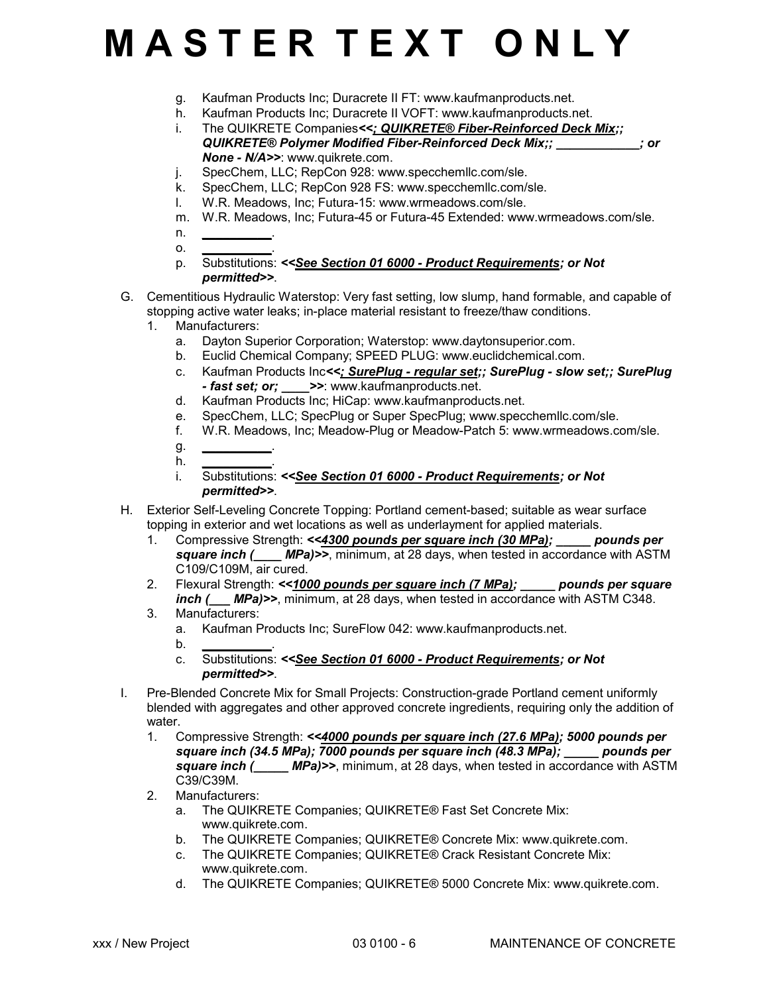- g. Kaufman Products Inc; Duracrete II FT: www.kaufmanproducts.net.
- h. Kaufman Products Inc; Duracrete II VOFT: www.kaufmanproducts.net. i. The QUIKRETE Companies*<<; QUIKRETE® Fiber-Reinforced Deck Mix;;*
	- *QUIKRETE® Polymer Modified Fiber-Reinforced Deck Mix;; \_\_\_\_\_\_\_\_\_\_\_\_; or None - N/A>>*: www.quikrete.com.
- j. SpecChem, LLC; RepCon 928: www.specchemllc.com/sle.
- k. SpecChem, LLC; RepCon 928 FS: www.specchemllc.com/sle.
- l. W.R. Meadows, Inc; Futura-15: www.wrmeadows.com/sle.
- m. W.R. Meadows, Inc; Futura-45 or Futura-45 Extended: www.wrmeadows.com/sle.
- n. *\_\_\_\_\_\_\_\_\_\_*.
- o. *\_\_\_\_\_\_\_\_\_\_*. p. Substitutions: *<<See Section 01 6000 - Product Requirements; or Not permitted>>*.
- G. Cementitious Hydraulic Waterstop: Very fast setting, low slump, hand formable, and capable of stopping active water leaks; in-place material resistant to freeze/thaw conditions.
	- 1. Manufacturers:
		- a. Dayton Superior Corporation; Waterstop: www.daytonsuperior.com.
		- b. Euclid Chemical Company; SPEED PLUG: www.euclidchemical.com.
		- c. Kaufman Products Inc*<<; SurePlug regular set;; SurePlug slow set;; SurePlug - fast set; or; \_\_\_\_>>*: www.kaufmanproducts.net.
		- d. Kaufman Products Inc; HiCap: www.kaufmanproducts.net.
		- e. SpecChem, LLC; SpecPlug or Super SpecPlug; www.specchemllc.com/sle.
		- f. W.R. Meadows, Inc; Meadow-Plug or Meadow-Patch 5: www.wrmeadows.com/sle.
		- g. *\_\_\_\_\_\_\_\_\_\_*. h. *\_\_\_\_\_\_\_\_\_\_*.
		- i. Substitutions: *<<See Section 01 6000 Product Requirements; or Not permitted>>*.
- H. Exterior Self-Leveling Concrete Topping: Portland cement-based; suitable as wear surface topping in exterior and wet locations as well as underlayment for applied materials.
	- 1. Compressive Strength: *<<4300 pounds per square inch (30 MPa); \_\_\_\_\_ pounds per* **square inch (** MPa)>>, minimum, at 28 days, when tested in accordance with ASTM C109/C109M, air cured.
	- 2. Flexural Strength: *<<1000 pounds per square inch (7 MPa); \_\_\_\_\_ pounds per square inch (\_\_\_ MPa)>>*, minimum, at 28 days, when tested in accordance with ASTM C348.
	- 3. Manufacturers:
		- a. Kaufman Products Inc; SureFlow 042: www.kaufmanproducts.net.
		- b. *\_\_\_\_\_\_\_\_\_\_*.
		- c. Substitutions: *<<See Section 01 6000 Product Requirements; or Not permitted>>*.
- I. Pre-Blended Concrete Mix for Small Projects: Construction-grade Portland cement uniformly blended with aggregates and other approved concrete ingredients, requiring only the addition of water.
	- 1. Compressive Strength: *<<4000 pounds per square inch (27.6 MPa); 5000 pounds per square inch (34.5 MPa); 7000 pounds per square inch (48.3 MPa); \_\_\_\_\_ pounds per square inch (\_\_\_\_\_ MPa)>>*, minimum, at 28 days, when tested in accordance with ASTM C39/C39M.
	- 2. Manufacturers:
		- a. The QUIKRETE Companies; QUIKRETE® Fast Set Concrete Mix: www.quikrete.com.
		- b. The QUIKRETE Companies; QUIKRETE® Concrete Mix: www.quikrete.com.<br>c. The QUIKRETE Companies: QUIKRETE® Crack Resistant Concrete Mix:
		- The QUIKRETE Companies; QUIKRETE® Crack Resistant Concrete Mix: www.quikrete.com.
		- d. The QUIKRETE Companies; QUIKRETE® 5000 Concrete Mix: www.quikrete.com.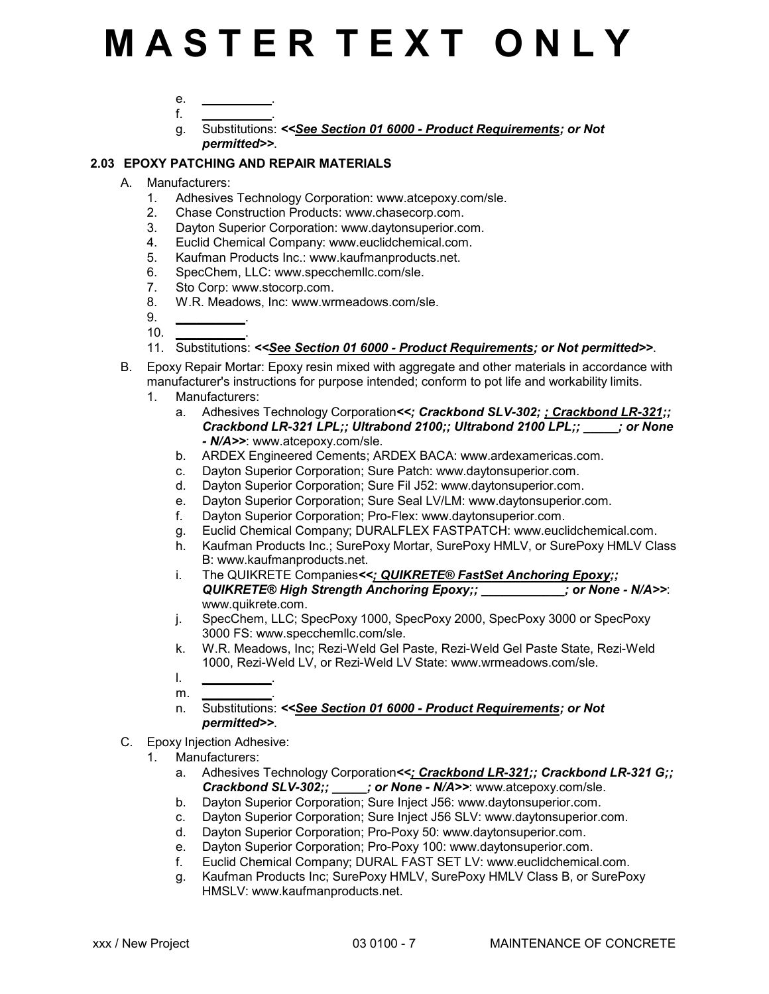- e. *\_\_\_\_\_\_\_\_\_\_*.
- f. *\_\_\_\_\_\_\_\_\_\_*. g. Substitutions: *<<See Section 01 6000 - Product Requirements; or Not permitted>>*.

### **2.03 EPOXY PATCHING AND REPAIR MATERIALS**

- A. Manufacturers:
	- 1. Adhesives Technology Corporation: www.atcepoxy.com/sle.
	- 2. Chase Construction Products: www.chasecorp.com.
	- 3. Dayton Superior Corporation: www.daytonsuperior.com.
	- 4. Euclid Chemical Company: www.euclidchemical.com.
	- 5. Kaufman Products Inc.: www.kaufmanproducts.net.
	- 6. SpecChem, LLC: www.specchemllc.com/sle.
	- 7. Sto Corp: www.stocorp.com.
	- 8. W.R. Meadows, Inc: www.wrmeadows.com/sle.
	- 9. *\_\_\_\_\_\_\_\_\_\_*. 10. *\_\_\_\_\_\_\_\_\_\_*.
	- 11. Substitutions: *<<See Section 01 6000 Product Requirements; or Not permitted>>*.
- B. Epoxy Repair Mortar: Epoxy resin mixed with aggregate and other materials in accordance with manufacturer's instructions for purpose intended; conform to pot life and workability limits.
	- 1. Manufacturers:
		- a. Adhesives Technology Corporation*<<; Crackbond SLV-302; ; Crackbond LR-321;; Crackbond LR-321 LPL;; Ultrabond 2100;; Ultrabond 2100 LPL;; \_\_\_\_\_; or None - N/A>>*: www.atcepoxy.com/sle.
		- b. ARDEX Engineered Cements; ARDEX BACA: www.ardexamericas.com.
		- c. Dayton Superior Corporation; Sure Patch: www.daytonsuperior.com.
		- d. Dayton Superior Corporation; Sure Fil J52: www.daytonsuperior.com.
		- e. Dayton Superior Corporation; Sure Seal LV/LM: www.daytonsuperior.com.
		- f. Dayton Superior Corporation; Pro-Flex: www.daytonsuperior.com.
		- g. Euclid Chemical Company; DURALFLEX FASTPATCH: www.euclidchemical.com.
		- h. Kaufman Products Inc.; SurePoxy Mortar, SurePoxy HMLV, or SurePoxy HMLV Class B: www.kaufmanproducts.net.
		- i. The QUIKRETE Companies*<<; QUIKRETE® FastSet Anchoring Epoxy;; QUIKRETE® High Strength Anchoring Epoxy;; \_\_\_\_\_\_\_\_\_\_\_\_; or None - N/A>>*: www.quikrete.com.
		- j. SpecChem, LLC; SpecPoxy 1000, SpecPoxy 2000, SpecPoxy 3000 or SpecPoxy 3000 FS: www.specchemllc.com/sle.
		- k. W.R. Meadows, Inc; Rezi-Weld Gel Paste, Rezi-Weld Gel Paste State, Rezi-Weld 1000, Rezi-Weld LV, or Rezi-Weld LV State: www.wrmeadows.com/sle.
		- l. *\_\_\_\_\_\_\_\_\_\_*.
		- $m_{\odot}$
		- n. Substitutions: *<<See Section 01 6000 Product Requirements; or Not permitted>>*.
- C. Epoxy Injection Adhesive:
	- 1. Manufacturers:
		- a. Adhesives Technology Corporation*<<; Crackbond LR-321;; Crackbond LR-321 G;; Crackbond SLV-302;; \_\_\_\_\_; or None - N/A>>*: www.atcepoxy.com/sle.
		- b. Dayton Superior Corporation; Sure Inject J56: www.daytonsuperior.com.
		- c. Dayton Superior Corporation; Sure Inject J56 SLV: www.daytonsuperior.com.
		- d. Dayton Superior Corporation; Pro-Poxy 50: www.daytonsuperior.com.
		- e. Dayton Superior Corporation; Pro-Poxy 100: www.daytonsuperior.com.<br>f. Euclid Chemical Company: DURAL FAST SET LV: www.euclidchemica
		- Euclid Chemical Company; DURAL FAST SET LV: www.euclidchemical.com.
		- g. Kaufman Products Inc; SurePoxy HMLV, SurePoxy HMLV Class B, or SurePoxy HMSLV: www.kaufmanproducts.net.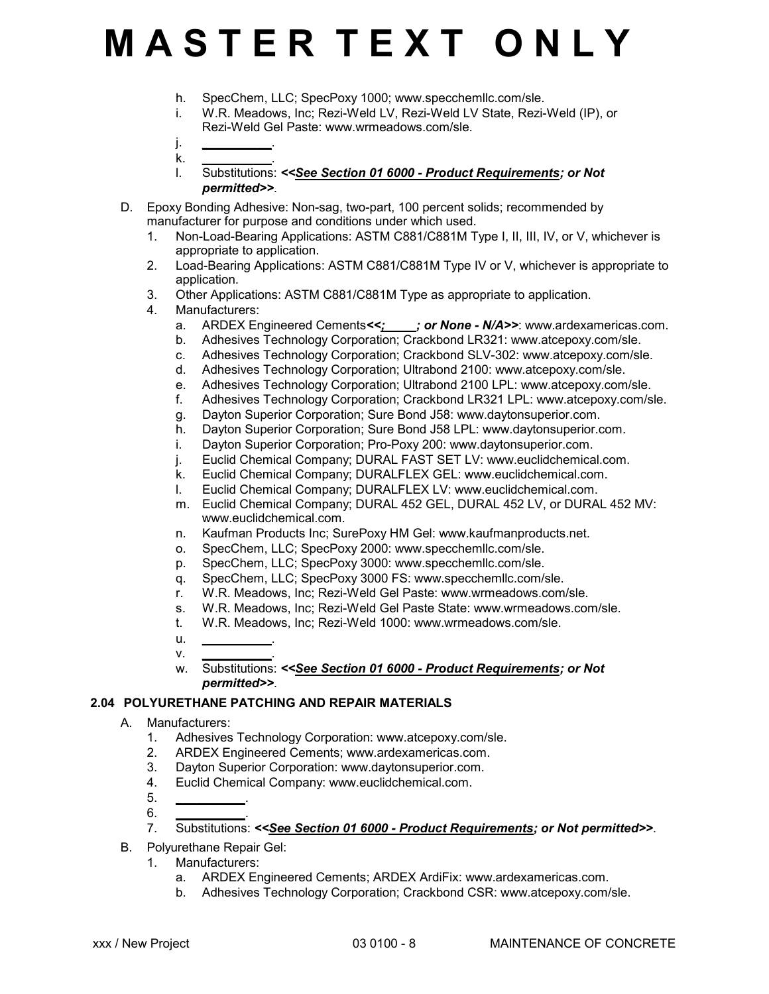- h. SpecChem, LLC; SpecPoxy 1000; www.specchemllc.com/sle.
- i. W.R. Meadows, Inc; Rezi-Weld LV, Rezi-Weld LV State, Rezi-Weld (IP), or Rezi-Weld Gel Paste: www.wrmeadows.com/sle.
- j. *\_\_\_\_\_\_\_\_\_\_*. k. *\_\_\_\_\_\_\_\_\_\_*.
- l. Substitutions: *<<See Section 01 6000 Product Requirements; or Not permitted>>*.
- D. Epoxy Bonding Adhesive: Non-sag, two-part, 100 percent solids; recommended by manufacturer for purpose and conditions under which used.
	- 1. Non-Load-Bearing Applications: ASTM C881/C881M Type I, II, III, IV, or V, whichever is appropriate to application.
	- 2. Load-Bearing Applications: ASTM C881/C881M Type IV or V, whichever is appropriate to application.
	- 3. Other Applications: ASTM C881/C881M Type as appropriate to application.
	- 4. Manufacturers:
		- a. ARDEX Engineered Cements*<<; \_\_\_\_; or None N/A>>*: www.ardexamericas.com.
		- b. Adhesives Technology Corporation; Crackbond LR321: www.atcepoxy.com/sle.
		- c. Adhesives Technology Corporation; Crackbond SLV-302: www.atcepoxy.com/sle.
		- d. Adhesives Technology Corporation; Ultrabond 2100: www.atcepoxy.com/sle.
		- e. Adhesives Technology Corporation; Ultrabond 2100 LPL: www.atcepoxy.com/sle.
		- f. Adhesives Technology Corporation; Crackbond LR321 LPL: www.atcepoxy.com/sle.
		-
		- g. Dayton Superior Corporation; Sure Bond J58: www.daytonsuperior.com.<br>h. Dayton Superior Corporation; Sure Bond J58 LPL: www.davtonsuperior.c Dayton Superior Corporation; Sure Bond J58 LPL: www.daytonsuperior.com.
		- i. Dayton Superior Corporation; Pro-Poxy 200: www.daytonsuperior.com.
		- j. Euclid Chemical Company; DURAL FAST SET LV: www.euclidchemical.com.
		- k. Euclid Chemical Company; DURALFLEX GEL: www.euclidchemical.com.
		- l. Euclid Chemical Company; DURALFLEX LV: www.euclidchemical.com.
		- m. Euclid Chemical Company; DURAL 452 GEL, DURAL 452 LV, or DURAL 452 MV: www.euclidchemical.com.
		- n. Kaufman Products Inc; SurePoxy HM Gel: www.kaufmanproducts.net.
		- o. SpecChem, LLC; SpecPoxy 2000: www.specchemllc.com/sle.
		- p. SpecChem, LLC; SpecPoxy 3000: www.specchemllc.com/sle.
		- q. SpecChem, LLC; SpecPoxy 3000 FS: www.specchemllc.com/sle.
		- r. W.R. Meadows, Inc; Rezi-Weld Gel Paste: www.wrmeadows.com/sle.
		- s. W.R. Meadows, Inc; Rezi-Weld Gel Paste State: www.wrmeadows.com/sle.
		- t. W.R. Meadows, Inc; Rezi-Weld 1000: www.wrmeadows.com/sle.
		- u. *\_\_\_\_\_\_\_\_\_\_*.
		- v. *\_\_\_\_\_\_\_\_\_\_*. w. Substitutions: *<<See Section 01 6000 - Product Requirements; or Not permitted>>*.

### **2.04 POLYURETHANE PATCHING AND REPAIR MATERIALS**

- A. Manufacturers:
	- 1. Adhesives Technology Corporation: www.atcepoxy.com/sle.
	- 2. ARDEX Engineered Cements; www.ardexamericas.com.
	- 3. Dayton Superior Corporation: www.daytonsuperior.com.
	- 4. Euclid Chemical Company: www.euclidchemical.com.
	- 5. *\_\_\_\_\_\_\_\_\_\_*.
	- 6. *\_\_\_\_\_\_\_\_\_\_*.
	- 7. Substitutions: *<<See Section 01 6000 Product Requirements; or Not permitted>>*.
- B. Polyurethane Repair Gel:
	- 1. Manufacturers:
		- a. ARDEX Engineered Cements; ARDEX ArdiFix: www.ardexamericas.com.
		- b. Adhesives Technology Corporation; Crackbond CSR: www.atcepoxy.com/sle.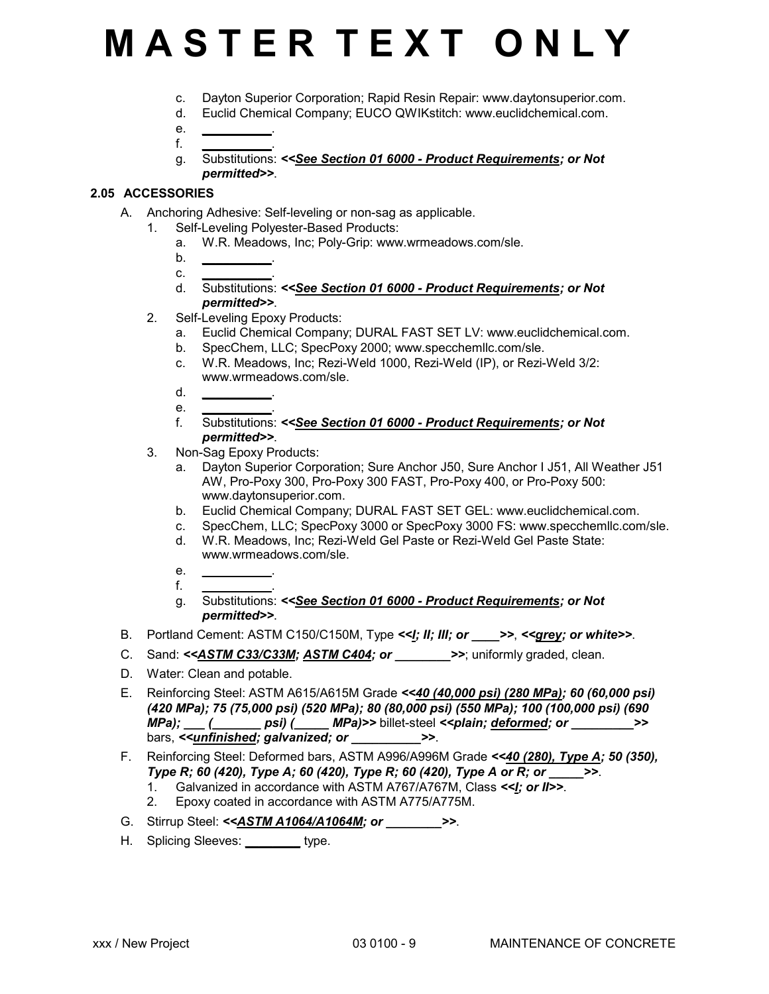- c. Dayton Superior Corporation; Rapid Resin Repair: www.daytonsuperior.com.
- d. Euclid Chemical Company; EUCO QWIKstitch: www.euclidchemical.com.
- e. *\_\_\_\_\_\_\_\_\_\_*. f. *\_\_\_\_\_\_\_\_\_\_*.
- g. Substitutions: *<<See Section 01 6000 Product Requirements; or Not permitted>>*.

### **2.05 ACCESSORIES**

- A. Anchoring Adhesive: Self-leveling or non-sag as applicable.
	- 1. Self-Leveling Polyester-Based Products:
		- a. W.R. Meadows, Inc; Poly-Grip: www.wrmeadows.com/sle.
		- b. *\_\_\_\_\_\_\_\_\_\_*.
		- c. *\_\_\_\_\_\_\_\_\_\_*.
		- d. Substitutions: *<<See Section 01 6000 Product Requirements; or Not permitted>>*.
	- 2. Self-Leveling Epoxy Products:
		- a. Euclid Chemical Company; DURAL FAST SET LV: www.euclidchemical.com.
		- b. SpecChem, LLC; SpecPoxy 2000; www.specchemllc.com/sle.
		- c. W.R. Meadows, Inc; Rezi-Weld 1000, Rezi-Weld (IP), or Rezi-Weld 3/2: www.wrmeadows.com/sle.
		- d. *\_\_\_\_\_\_\_\_\_\_*.
		- e. *\_\_\_\_\_\_\_\_\_\_*.
		- f. Substitutions: *<<See Section 01 6000 Product Requirements; or Not permitted>>*.
	- 3. Non-Sag Epoxy Products:
		- a. Dayton Superior Corporation; Sure Anchor J50, Sure Anchor I J51, All Weather J51 AW, Pro-Poxy 300, Pro-Poxy 300 FAST, Pro-Poxy 400, or Pro-Poxy 500: www.daytonsuperior.com.
		- b. Euclid Chemical Company; DURAL FAST SET GEL: www.euclidchemical.com.
		- c. SpecChem, LLC; SpecPoxy 3000 or SpecPoxy 3000 FS: www.specchemllc.com/sle.
		- d. W.R. Meadows, Inc; Rezi-Weld Gel Paste or Rezi-Weld Gel Paste State: www.wrmeadows.com/sle.
		- e. *\_\_\_\_\_\_\_\_\_\_*.
		- f. *\_\_\_\_\_\_\_\_\_\_*.
		- g. Substitutions: *<<See Section 01 6000 Product Requirements; or Not permitted>>*.
- B. Portland Cement: ASTM C150/C150M, Type *<<I; II; III; or \_\_\_\_>>*, *<<grey; or white>>*.
- C. Sand: <<**ASTM C33/C33M; ASTM C404; or \_\_\_\_\_\_\_\_>>**; uniformly graded, clean.
- D. Water: Clean and potable.
- E. Reinforcing Steel: ASTM A615/A615M Grade *<<40 (40,000 psi) (280 MPa); 60 (60,000 psi) (420 MPa); 75 (75,000 psi) (520 MPa); 80 (80,000 psi) (550 MPa); 100 (100,000 psi) (690 MPa); \_\_\_ (\_\_\_\_\_\_\_ psi) (\_\_\_\_\_ MPa)>>* billet-steel *<<plain; deformed; or \_\_\_\_\_\_\_\_\_>>* bars, *<<unfinished; galvanized; or \_\_\_\_\_\_\_\_\_\_>>*.
- F. Reinforcing Steel: Deformed bars, ASTM A996/A996M Grade *<<40 (280), Type A; 50 (350), Type R; 60 (420), Type A; 60 (420), Type R; 60 (420), Type A or R; or \_\_\_\_\_>>*.
	- 1. Galvanized in accordance with ASTM A767/A767M, Class *<<I; or II>>*.
	- 2. Epoxy coated in accordance with ASTM A775/A775M.
- G. Stirrup Steel: <<**ASTM A1064/A1064M; or >>.**
- H. Splicing Sleeves: *\_\_\_\_\_\_\_\_* type.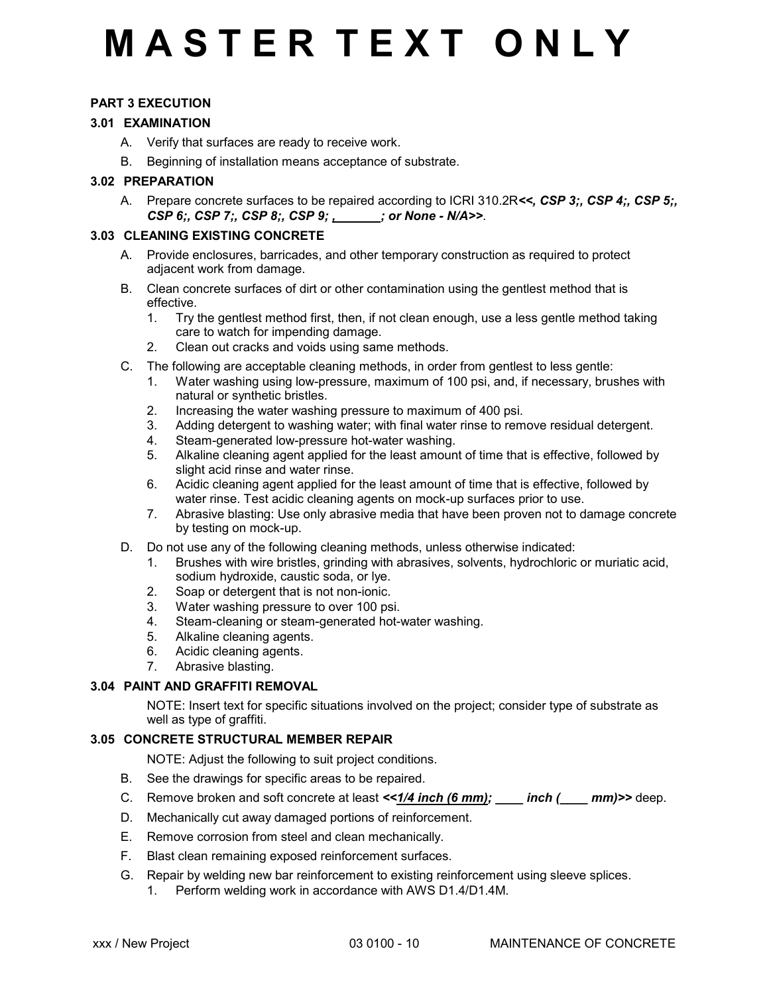### **PART 3 EXECUTION**

### **3.01 EXAMINATION**

- A. Verify that surfaces are ready to receive work.
- B. Beginning of installation means acceptance of substrate.

### **3.02 PREPARATION**

A. Prepare concrete surfaces to be repaired according to ICRI 310.2R*<<, CSP 3;, CSP 4;, CSP 5;, CSP 6;, CSP 7;, CSP 8;, CSP 9; , \_\_\_\_\_\_; or None - N/A>>*.

### **3.03 CLEANING EXISTING CONCRETE**

- A. Provide enclosures, barricades, and other temporary construction as required to protect adjacent work from damage.
- B. Clean concrete surfaces of dirt or other contamination using the gentlest method that is effective.
	- 1. Try the gentlest method first, then, if not clean enough, use a less gentle method taking care to watch for impending damage.
	- 2. Clean out cracks and voids using same methods.
- C. The following are acceptable cleaning methods, in order from gentlest to less gentle:
	- 1. Water washing using low-pressure, maximum of 100 psi, and, if necessary, brushes with natural or synthetic bristles.
	- 2. Increasing the water washing pressure to maximum of 400 psi.
	- 3. Adding detergent to washing water; with final water rinse to remove residual detergent.
	- 4. Steam-generated low-pressure hot-water washing.
	- 5. Alkaline cleaning agent applied for the least amount of time that is effective, followed by slight acid rinse and water rinse.
	- 6. Acidic cleaning agent applied for the least amount of time that is effective, followed by water rinse. Test acidic cleaning agents on mock-up surfaces prior to use.
	- 7. Abrasive blasting: Use only abrasive media that have been proven not to damage concrete by testing on mock-up.
- D. Do not use any of the following cleaning methods, unless otherwise indicated:
	- 1. Brushes with wire bristles, grinding with abrasives, solvents, hydrochloric or muriatic acid, sodium hydroxide, caustic soda, or lye.
	- 2. Soap or detergent that is not non-ionic.
	- 3. Water washing pressure to over 100 psi.
	- 4. Steam-cleaning or steam-generated hot-water washing.
	- 5. Alkaline cleaning agents.
	- 6. Acidic cleaning agents.
	- 7. Abrasive blasting.

### **3.04 PAINT AND GRAFFITI REMOVAL**

 NOTE: Insert text for specific situations involved on the project; consider type of substrate as well as type of graffiti.

### **3.05 CONCRETE STRUCTURAL MEMBER REPAIR**

NOTE: Adjust the following to suit project conditions.

- B. See the drawings for specific areas to be repaired.
- C. Remove broken and soft concrete at least  $\leq 1/4$  inch (6 mm); \_\_\_\_ inch (\_\_\_\_ mm)>> deep.
- D. Mechanically cut away damaged portions of reinforcement.
- E. Remove corrosion from steel and clean mechanically.
- F. Blast clean remaining exposed reinforcement surfaces.
- G. Repair by welding new bar reinforcement to existing reinforcement using sleeve splices. 1. Perform welding work in accordance with AWS D1.4/D1.4M.